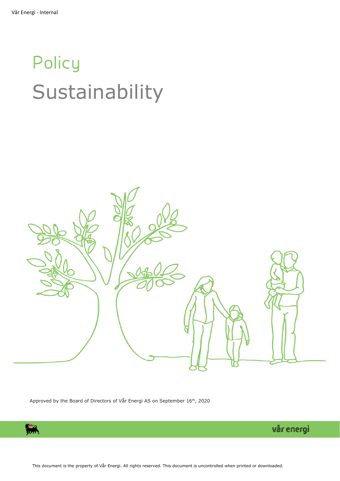# **Policy** Sustainability



Approved by the Board of Directors of Vår Energi AS on September 16<sup>th</sup>, 2020

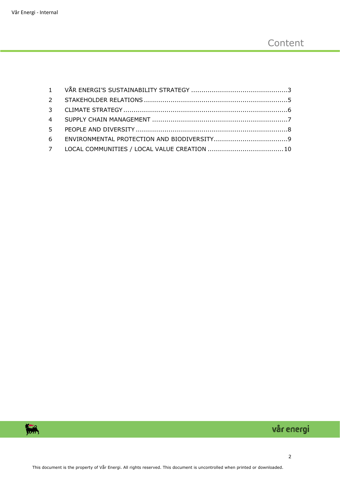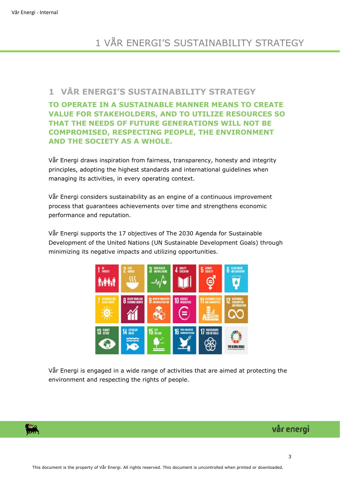# 1 VÅR ENERGI'S SUSTAINABILITY STRATEGY

### <span id="page-2-0"></span>**1 VÅR ENERGI'S SUSTAINABILITY STRATEGY**

**TO OPERATE IN A SUSTAINABLE MANNER MEANS TO CREATE VALUE FOR STAKEHOLDERS, AND TO UTILIZE RESOURCES SO THAT THE NEEDS OF FUTURE GENERATIONS WILL NOT BE COMPROMISED, RESPECTING PEOPLE, THE ENVIRONMENT AND THE SOCIETY AS A WHOLE.** 

Vår Energi draws inspiration from fairness, transparency, honesty and integrity principles, adopting the highest standards and international guidelines when managing its activities, in every operating context.

Vår Energi considers sustainability as an engine of a continuous improvement process that guarantees achievements over time and strengthens economic performance and reputation.

Vår Energi supports the 17 objectives of The 2030 Agenda for Sustainable Development of the United Nations (UN Sustainable Development Goals) through minimizing its negative impacts and utilizing opportunities.



Vår Energi is engaged in a wide range of activities that are aimed at protecting the environment and respecting the rights of people.

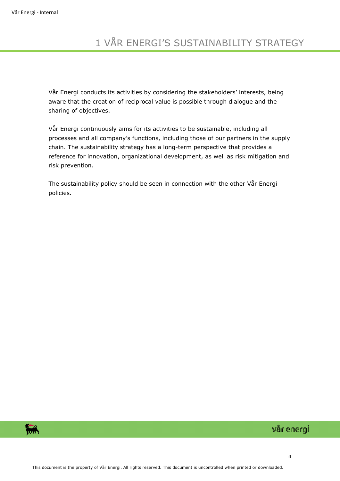# 1 VÅR ENERGI'S SUSTAINABILITY STRATEGY

Vår Energi conducts its activities by considering the stakeholders' interests, being aware that the creation of reciprocal value is possible through dialogue and the sharing of objectives.

Vår Energi continuously aims for its activities to be sustainable, including all processes and all company's functions, including those of our partners in the supply chain. The sustainability strategy has a long-term perspective that provides a reference for innovation, organizational development, as well as risk mitigation and risk prevention.

The sustainability policy should be seen in connection with the other Vår Energi policies.

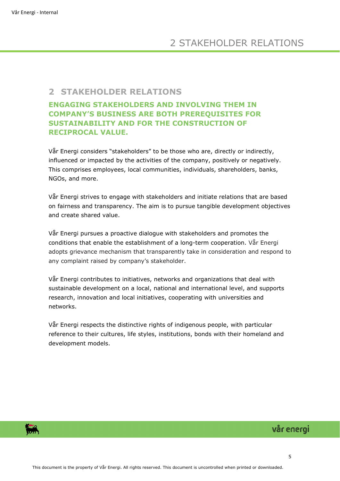#### <span id="page-4-0"></span>**2 STAKEHOLDER RELATIONS**

#### **ENGAGING STAKEHOLDERS AND INVOLVING THEM IN COMPANY'S BUSINESS ARE BOTH PREREQUISITES FOR SUSTAINABILITY AND FOR THE CONSTRUCTION OF RECIPROCAL VALUE.**

Vår Energi considers "stakeholders" to be those who are, directly or indirectly, influenced or impacted by the activities of the company, positively or negatively. This comprises employees, local communities, individuals, shareholders, banks, NGOs, and more.

Vår Energi strives to engage with stakeholders and initiate relations that are based on fairness and transparency. The aim is to pursue tangible development objectives and create shared value.

Vår Energi pursues a proactive dialogue with stakeholders and promotes the conditions that enable the establishment of a long-term cooperation. Vår Energi adopts grievance mechanism that transparently take in consideration and respond to any complaint raised by company's stakeholder.

Vår Energi contributes to initiatives, networks and organizations that deal with sustainable development on a local, national and international level, and supports research, innovation and local initiatives, cooperating with universities and networks.

Vår Energi respects the distinctive rights of indigenous people, with particular reference to their cultures, life styles, institutions, bonds with their homeland and development models.

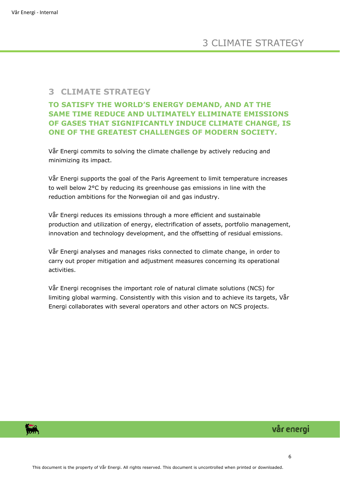#### <span id="page-5-0"></span>**3 CLIMATE STRATEGY**

#### **TO SATISFY THE WORLD'S ENERGY DEMAND, AND AT THE SAME TIME REDUCE AND ULTIMATELY ELIMINATE EMISSIONS OF GASES THAT SIGNIFICANTLY INDUCE CLIMATE CHANGE, IS ONE OF THE GREATEST CHALLENGES OF MODERN SOCIETY.**

Vår Energi commits to solving the climate challenge by actively reducing and minimizing its impact.

Vår Energi supports the goal of the Paris Agreement to limit temperature increases to well below 2°C by reducing its greenhouse gas emissions in line with the reduction ambitions for the Norwegian oil and gas industry.

Vår Energi reduces its emissions through a more efficient and sustainable production and utilization of energy, electrification of assets, portfolio management, innovation and technology development, and the offsetting of residual emissions.

Vår Energi analyses and manages risks connected to climate change, in order to carry out proper mitigation and adjustment measures concerning its operational activities.

Vår Energi recognises the important role of natural climate solutions (NCS) for limiting global warming. Consistently with this vision and to achieve its targets, Vår Energi collaborates with several operators and other actors on NCS projects.

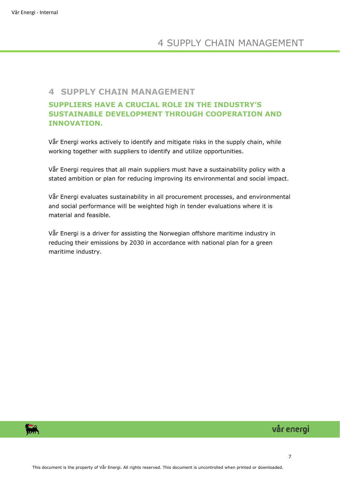#### <span id="page-6-0"></span>**4 SUPPLY CHAIN MANAGEMENT**

#### **SUPPLIERS HAVE A CRUCIAL ROLE IN THE INDUSTRY'S SUSTAINABLE DEVELOPMENT THROUGH COOPERATION AND INNOVATION.**

Vår Energi works actively to identify and mitigate risks in the supply chain, while working together with suppliers to identify and utilize opportunities.

Vår Energi requires that all main suppliers must have a sustainability policy with a stated ambition or plan for reducing improving its environmental and social impact.

Vår Energi evaluates sustainability in all procurement processes, and environmental and social performance will be weighted high in tender evaluations where it is material and feasible.

Vår Energi is a driver for assisting the Norwegian offshore maritime industry in reducing their emissions by 2030 in accordance with national plan for a green maritime industry.

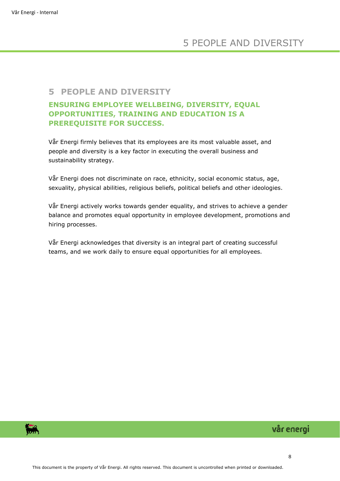#### <span id="page-7-0"></span>**5 PEOPLE AND DIVERSITY**

#### **ENSURING EMPLOYEE WELLBEING, DIVERSITY, EQUAL OPPORTUNITIES, TRAINING AND EDUCATION IS A PREREQUISITE FOR SUCCESS.**

Vår Energi firmly believes that its employees are its most valuable asset, and people and diversity is a key factor in executing the overall business and sustainability strategy.

Vår Energi does not discriminate on race, ethnicity, social economic status, age, sexuality, physical abilities, religious beliefs, political beliefs and other ideologies.

Vår Energi actively works towards gender equality, and strives to achieve a gender balance and promotes equal opportunity in employee development, promotions and hiring processes.

Vår Energi acknowledges that diversity is an integral part of creating successful teams, and we work daily to ensure equal opportunities for all employees.

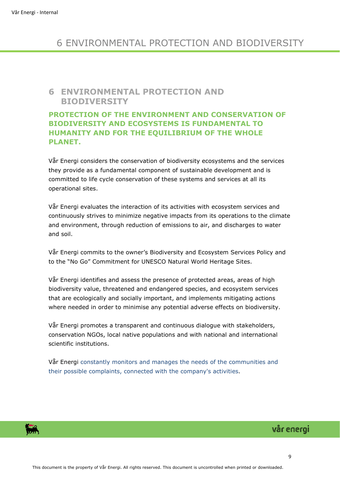# 6 ENVIRONMENTAL PROTECTION AND BIODIVERSITY

#### <span id="page-8-0"></span>**6 ENVIRONMENTAL PROTECTION AND BIODIVERSITY**

#### **PROTECTION OF THE ENVIRONMENT AND CONSERVATION OF BIODIVERSITY AND ECOSYSTEMS IS FUNDAMENTAL TO HUMANITY AND FOR THE EQUILIBRIUM OF THE WHOLE PLANET.**

Vår Energi considers the conservation of biodiversity ecosystems and the services they provide as a fundamental component of sustainable development and is committed to life cycle conservation of these systems and services at all its operational sites.

Vår Energi evaluates the interaction of its activities with ecosystem services and continuously strives to minimize negative impacts from its operations to the climate and environment, through reduction of emissions to air, and discharges to water and soil.

Vår Energi commits to the owner's Biodiversity and Ecosystem Services Policy and to the "No Go" Commitment for UNESCO Natural World Heritage Sites.

Vår Energi identifies and assess the presence of protected areas, areas of high biodiversity value, threatened and endangered species, and ecosystem services that are ecologically and socially important, and implements mitigating actions where needed in order to minimise any potential adverse effects on biodiversity.

Vår Energi promotes a transparent and continuous dialogue with stakeholders, conservation NGOs, local native populations and with national and international scientific institutions.

Vår Energi constantly monitors and manages the needs of the communities and their possible complaints, connected with the company's activities.